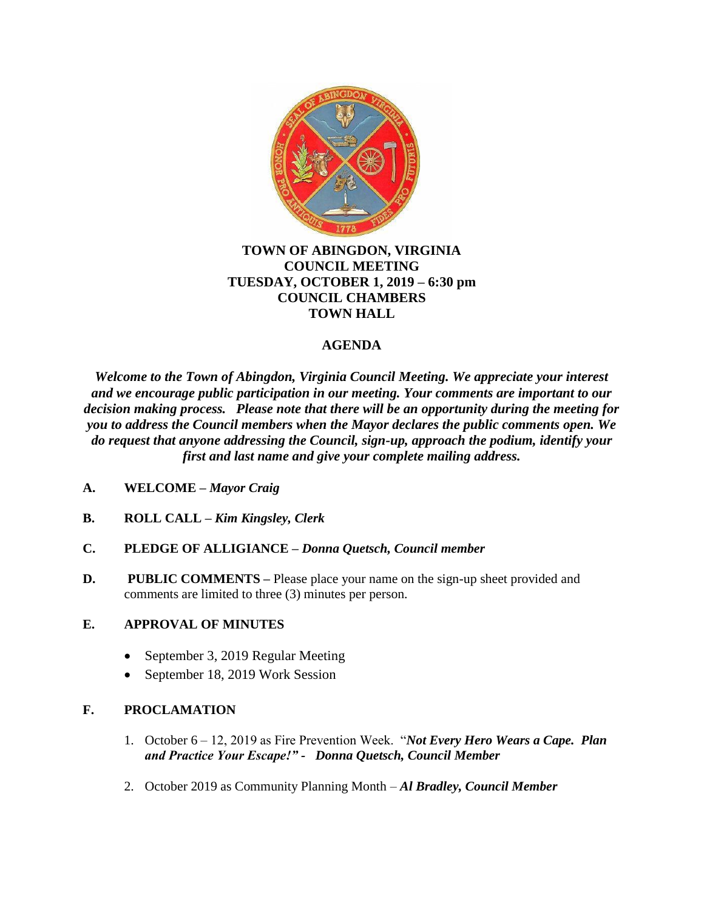

### **TOWN OF ABINGDON, VIRGINIA COUNCIL MEETING TUESDAY, OCTOBER 1, 2019 – 6:30 pm COUNCIL CHAMBERS TOWN HALL**

# **AGENDA**

*Welcome to the Town of Abingdon, Virginia Council Meeting. We appreciate your interest and we encourage public participation in our meeting. Your comments are important to our decision making process. Please note that there will be an opportunity during the meeting for you to address the Council members when the Mayor declares the public comments open. We do request that anyone addressing the Council, sign-up, approach the podium, identify your first and last name and give your complete mailing address.*

- **A. WELCOME –** *Mayor Craig*
- **B. ROLL CALL –** *Kim Kingsley, Clerk*
- **C. PLEDGE OF ALLIGIANCE –** *Donna Quetsch, Council member*
- **D. PUBLIC COMMENTS** Please place your name on the sign-up sheet provided and comments are limited to three (3) minutes per person.

## **E. APPROVAL OF MINUTES**

- September 3, 2019 Regular Meeting
- September 18, 2019 Work Session

## **F. PROCLAMATION**

- 1. October 6 12, 2019 as Fire Prevention Week. "*Not Every Hero Wears a Cape. Plan and Practice Your Escape!" - Donna Quetsch, Council Member*
- 2. October 2019 as Community Planning Month *Al Bradley, Council Member*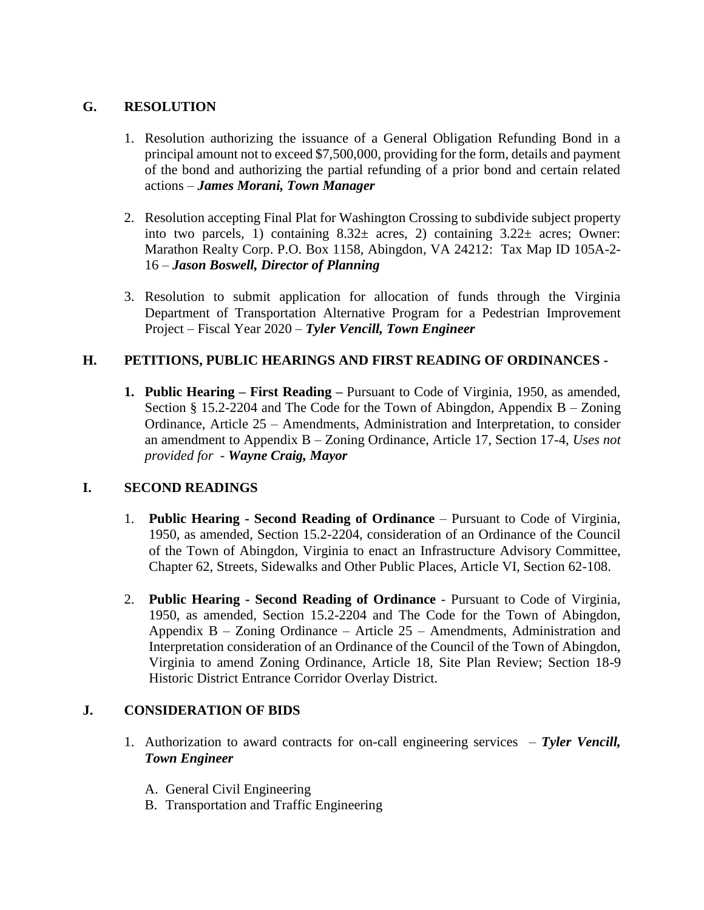## **G. RESOLUTION**

- 1. Resolution authorizing the issuance of a General Obligation Refunding Bond in a principal amount not to exceed \$7,500,000, providing for the form, details and payment of the bond and authorizing the partial refunding of a prior bond and certain related actions – *James Morani, Town Manager*
- 2. Resolution accepting Final Plat for Washington Crossing to subdivide subject property into two parcels, 1) containing 8.32± acres, 2) containing 3.22± acres; Owner: Marathon Realty Corp. P.O. Box 1158, Abingdon, VA 24212: Tax Map ID 105A-2- 16 – *Jason Boswell, Director of Planning*
- 3. Resolution to submit application for allocation of funds through the Virginia Department of Transportation Alternative Program for a Pedestrian Improvement Project – Fiscal Year 2020 – *Tyler Vencill, Town Engineer*

# **H. PETITIONS, PUBLIC HEARINGS AND FIRST READING OF ORDINANCES -**

**1. Public Hearing – First Reading –** Pursuant to Code of Virginia, 1950, as amended, Section  $\S 15.2$ -2204 and The Code for the Town of Abingdon, Appendix B – Zoning Ordinance, Article 25 – Amendments, Administration and Interpretation, to consider an amendment to Appendix B – Zoning Ordinance, Article 17, Section 17-4, *Uses not provided for* - *Wayne Craig, Mayor*

## **I. SECOND READINGS**

- 1. **Public Hearing - Second Reading of Ordinance** Pursuant to Code of Virginia, 1950, as amended, Section 15.2-2204, consideration of an Ordinance of the Council of the Town of Abingdon, Virginia to enact an Infrastructure Advisory Committee, Chapter 62, Streets, Sidewalks and Other Public Places, Article VI, Section 62-108.
- 2. **Public Hearing - Second Reading of Ordinance** Pursuant to Code of Virginia, 1950, as amended, Section 15.2-2204 and The Code for the Town of Abingdon, Appendix B – Zoning Ordinance – Article 25 – Amendments, Administration and Interpretation consideration of an Ordinance of the Council of the Town of Abingdon, Virginia to amend Zoning Ordinance, Article 18, Site Plan Review; Section 18-9 Historic District Entrance Corridor Overlay District.

## **J. CONSIDERATION OF BIDS**

- 1. Authorization to award contracts for on-call engineering services *Tyler Vencill, Town Engineer*
	- A. General Civil Engineering
	- B. Transportation and Traffic Engineering